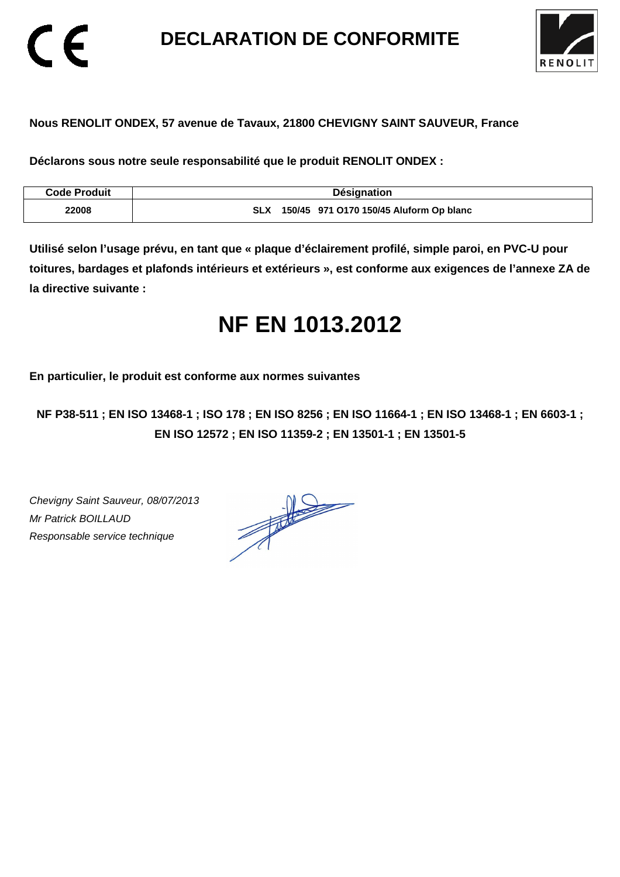**DECLARATION DE CONFORMITE** 



### **Nous RENOLIT ONDEX, 57 avenue de Tavaux, 21800 CHEVIGNY SAINT SAUVEUR, France**

**Déclarons sous notre seule responsabilité que le produit RENOLIT ONDEX :** 

| <b>Code Produit</b> | Désignation                                           |
|---------------------|-------------------------------------------------------|
| 22008               | 150/45 971 0170 150/45 Aluform Op blanc<br><b>SLX</b> |

**Utilisé selon l'usage prévu, en tant que « plaque d'éclairement profilé, simple paroi, en PVC-U pour toitures, bardages et plafonds intérieurs et extérieurs », est conforme aux exigences de l'annexe ZA de la directive suivante :** 

# **NF EN 1013.2012**

**En particulier, le produit est conforme aux normes suivantes** 

**NF P38-511 ; EN ISO 13468-1 ; ISO 178 ; EN ISO 8256 ; EN ISO 11664-1 ; EN ISO 13468-1 ; EN 6603-1 ; EN ISO 12572 ; EN ISO 11359-2 ; EN 13501-1 ; EN 13501-5**

Chevigny Saint Sauveur, 08/07/2013 Mr Patrick BOILLAUD Responsable service technique

 $\epsilon$ 

 $\frac{1}{\sqrt{2\pi}}\int_{0}^{\frac{1}{2}}\frac{dx}{(x-y)^{2}}\,dy\,dy=0$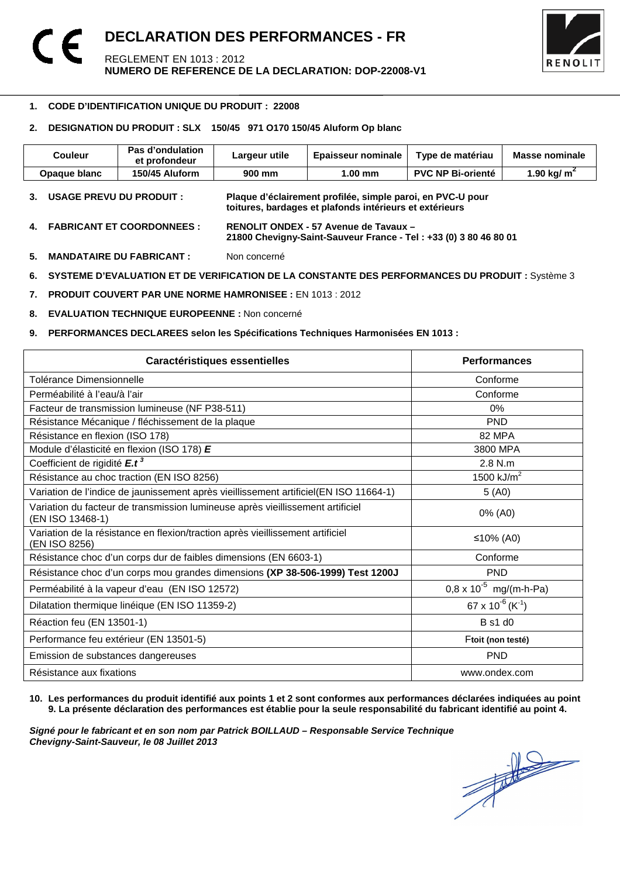

#### 1 **1. CODE D'IDENTIFICATION UNIQUE DU PRODUIT : 22008**

#### **2. DESIGNATION DU PRODUIT : SLX 150/45 971 O170 150/45 Aluform Op blanc**

| <b>Couleur</b>                          | Pas d'ondulation<br>et profondeur | Largeur utile | <b>Epaisseur nominale</b>                                                                                             | Type de matériau         | Masse nominale |
|-----------------------------------------|-----------------------------------|---------------|-----------------------------------------------------------------------------------------------------------------------|--------------------------|----------------|
| Opaque blanc                            | 150/45 Aluform                    | 900 mm        | $1.00$ mm                                                                                                             | <b>PVC NP Bi-orienté</b> | 1.90 kg/ $m^2$ |
| <b>USAGE PREVU DU PRODUIT :</b>         |                                   |               | Plaque d'éclairement profilée, simple paroi, en PVC-U pour<br>toitures, bardages et plafonds intérieurs et extérieurs |                          |                |
| <b>FABRICANT ET COORDONNEES :</b><br>4. |                                   |               | RENOLIT ONDEX - 57 Avenue de Tavaux -<br>21800 Chevigny-Saint-Sauveur France - Tel: +33 (0) 3 80 46 80 01             |                          |                |

**5. MANDATAIRE DU FABRICANT :** Non concerné

6. SYSTEME D'EVALUATION ET DE VERIFICATION DE LA CONSTANTE DES PERFORMANCES DU PRODUIT : Système 3

**7. PRODUIT COUVERT PAR UNE NORME HAMRONISEE :** EN 1013 : 2012

**8. EVALUATION TECHNIQUE EUROPEENNE :** Non concerné

#### **9. PERFORMANCES DECLAREES selon les Spécifications Techniques Harmonisées EN 1013 :**

| Caractéristiques essentielles                                                                      | <b>Performances</b>               |
|----------------------------------------------------------------------------------------------------|-----------------------------------|
| Tolérance Dimensionnelle                                                                           | Conforme                          |
| Perméabilité à l'eau/à l'air                                                                       | Conforme                          |
| Facteur de transmission lumineuse (NF P38-511)                                                     | $0\%$                             |
| Résistance Mécanique / fléchissement de la plaque                                                  | <b>PND</b>                        |
| Résistance en flexion (ISO 178)                                                                    | 82 MPA                            |
| Module d'élasticité en flexion (ISO 178) E                                                         | 3800 MPA                          |
| Coefficient de rigidité E.t <sup>3</sup>                                                           | $2.8$ N.m.                        |
| Résistance au choc traction (EN ISO 8256)                                                          | 1500 kJ/ $m^2$                    |
| Variation de l'indice de jaunissement après vieillissement artificiel(EN ISO 11664-1)              | 5(40)                             |
| Variation du facteur de transmission lumineuse après vieillissement artificiel<br>(EN ISO 13468-1) | 0% (A0)                           |
| Variation de la résistance en flexion/traction après vieillissement artificiel<br>(EN ISO 8256)    | ≤10% (A0)                         |
| Résistance choc d'un corps dur de faibles dimensions (EN 6603-1)                                   | Conforme                          |
| Résistance choc d'un corps mou grandes dimensions (XP 38-506-1999) Test 1200J                      | <b>PND</b>                        |
| Perméabilité à la vapeur d'eau (EN ISO 12572)                                                      | $0.8 \times 10^{-5}$ mg/(m-h-Pa)  |
| Dilatation thermique linéique (EN ISO 11359-2)                                                     | 67 x $10^{-6}$ (K <sup>-1</sup> ) |
| Réaction feu (EN 13501-1)                                                                          | <b>B</b> s1 d0                    |
| Performance feu extérieur (EN 13501-5)                                                             | Ftoit (non testé)                 |
| Emission de substances dangereuses                                                                 | <b>PND</b>                        |
| Résistance aux fixations                                                                           | www.ondex.com                     |

#### **10. Les performances du produit identifié aux points 1 et 2 sont conformes aux performances déclarées indiquées au point 9. La présente déclaration des performances est établie pour la seule responsabilité du fabricant identifié au point 4.**

Signé pour le fabricant et en son nom par Patrick BOILLAUD – Responsable Service Technique<br>Chevigny-Saint-Sauveur, le 08 Juillet 2013<br> **Chevigny-Saint-Sauveur, le 08 Juillet 2013 Chevigny-Saint-Sauveur, le 08 Juillet 2013**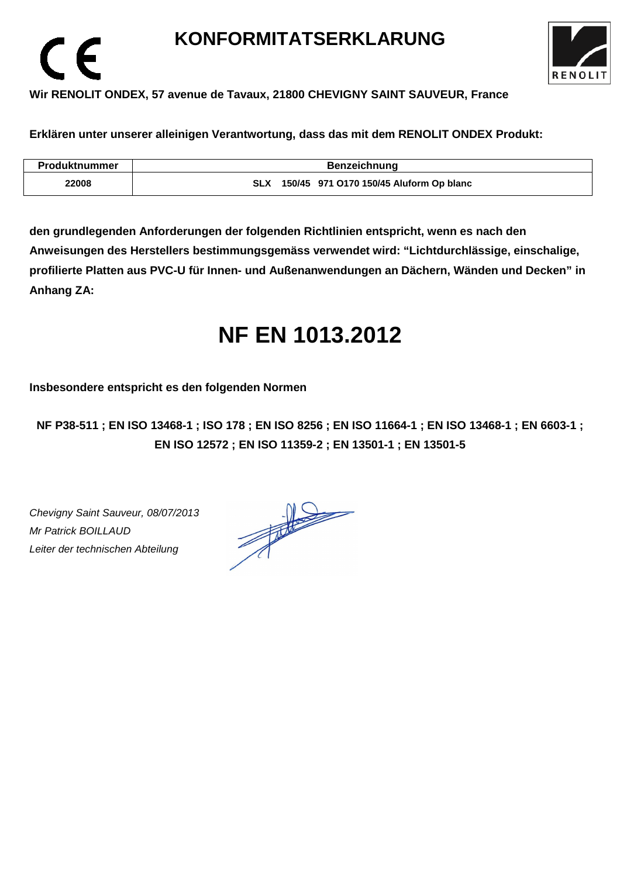## **KONFORMITATSERKLARUNG**



### **Wir RENOLIT ONDEX, 57 avenue de Tavaux, 21800 CHEVIGNY SAINT SAUVEUR, France**

**Erklären unter unserer alleinigen Verantwortung, dass das mit dem RENOLIT ONDEX Produkt:** 

| <b>Produktnummer</b> | <b>Benzeichnung</b>                                   |
|----------------------|-------------------------------------------------------|
| 22008                | 150/45 971 0170 150/45 Aluform Op blanc<br><b>SLX</b> |

**den grundlegenden Anforderungen der folgenden Richtlinien entspricht, wenn es nach den Anweisungen des Herstellers bestimmungsgemäss verwendet wird: "Lichtdurchlässige, einschalige, profilierte Platten aus PVC-U für Innen- und Außenanwendungen an Dächern, Wänden und Decken" in Anhang ZA:** 

# **NF EN 1013.2012**

**Insbesondere entspricht es den folgenden Normen** 

**NF P38-511 ; EN ISO 13468-1 ; ISO 178 ; EN ISO 8256 ; EN ISO 11664-1 ; EN ISO 13468-1 ; EN 6603-1 ; EN ISO 12572 ; EN ISO 11359-2 ; EN 13501-1 ; EN 13501-5**

Chevigny Saint Sauveur, 08/07/2013 Mr Patrick BOILLAUD Leiter der technischen Abteilung

 $\epsilon$ 

 $\frac{1}{\sqrt{1-\frac{1}{2}}}\left\vert \frac{1}{\sqrt{1-\frac{1}{2}}}\right\vert = \frac{1}{\sqrt{1-\frac{1}{2}}}\left\vert \frac{1}{\sqrt{1-\frac{1}{2}}}\right\vert.$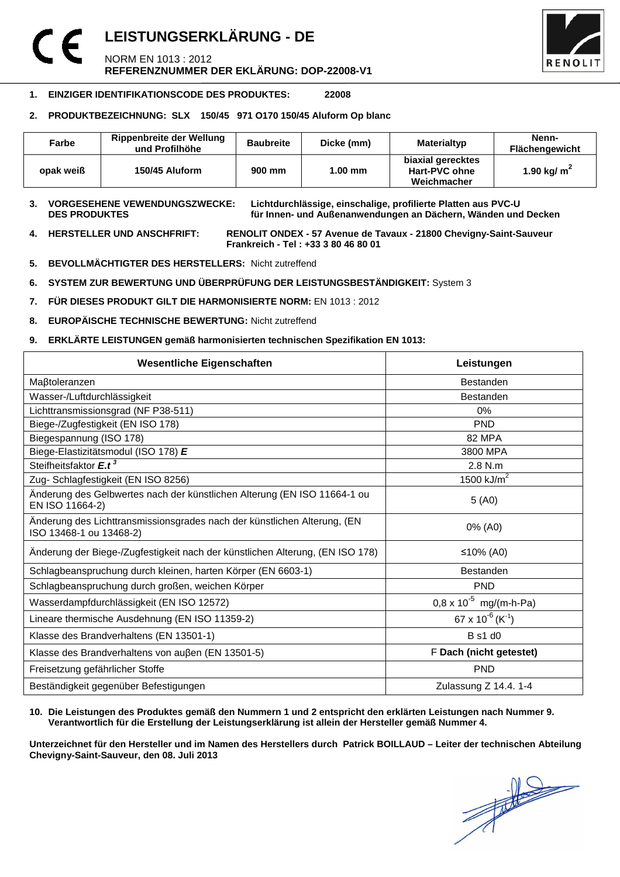### **LEISTUNGSERKLÄRUNG - DE**  NORM EN 1013 : 2012 **REFERENZNUMMER DER EKLÄRUNG: DOP-22008-V1**



#### **1. EINZIGER IDENTIFIKATIONSCODE DES PRODUKTES: 22008**

#### **2. PRODUKTBEZEICHNUNG: SLX 150/45 971 O170 150/45 Aluform Op blanc**

| Farbe     | Rippenbreite der Wellung<br>und Profilhöhe | <b>Baubreite</b> | Dicke (mm) | Materialtyp                                       | Nenn-<br><b>Flächengewicht</b> |
|-----------|--------------------------------------------|------------------|------------|---------------------------------------------------|--------------------------------|
| opak weiß | 150/45 Aluform                             | 900 mm           | $1.00$ mm  | biaxial gerecktes<br>Hart-PVC ohne<br>Weichmacher | 1.90 kg/ $m2$                  |

## **3. VORGESEHENE VEWENDUNGSZWECKE: Lichtdurchlässige, einschalige, profilierte Platten aus PVC-U**

für Innen- und Außenanwendungen an Dächern, Wänden und Decken

**4. HERSTELLER UND ANSCHFRIFT: RENOLIT ONDEX - 57 Avenue de Tavaux - 21800 Chevigny-Saint-Sauveur Frankreich - Tel : +33 3 80 46 80 01** 

- **5. BEVOLLMÄCHTIGTER DES HERSTELLERS:** Nicht zutreffend
- **6. SYSTEM ZUR BEWERTUNG UND ÜBERPRÜFUNG DER LEISTUNGSBESTÄNDIGKEIT:** System 3
- **7. FÜR DIESES PRODUKT GILT DIE HARMONISIERTE NORM:** EN 1013 : 2012
- **8. EUROPÄISCHE TECHNISCHE BEWERTUNG:** Nicht zutreffend
- **9. ERKLÄRTE LEISTUNGEN gemäß harmonisierten technischen Spezifikation EN 1013:**

| <b>Wesentliche Eigenschaften</b>                                                                    | Leistungen                               |  |
|-----------------------------------------------------------------------------------------------------|------------------------------------------|--|
| Maßtoleranzen                                                                                       | <b>Bestanden</b>                         |  |
| Wasser-/Luftdurchlässigkeit                                                                         | Bestanden                                |  |
| Lichttransmissionsgrad (NF P38-511)                                                                 | 0%                                       |  |
| Biege-/Zugfestigkeit (EN ISO 178)                                                                   | <b>PND</b>                               |  |
| Biegespannung (ISO 178)                                                                             | 82 MPA                                   |  |
| Biege-Elastizitätsmodul (ISO 178) E                                                                 | 3800 MPA                                 |  |
| Steifheitsfaktor E.t <sup>3</sup>                                                                   | 2.8 N.m                                  |  |
| Zug- Schlagfestigkeit (EN ISO 8256)                                                                 | 1500 $kJ/m2$                             |  |
| Änderung des Gelbwertes nach der künstlichen Alterung (EN ISO 11664-1 ou<br>EN ISO 11664-2)         | 5(40)                                    |  |
| Änderung des Lichttransmissionsgrades nach der künstlichen Alterung, (EN<br>ISO 13468-1 ou 13468-2) | 0% (A0)                                  |  |
| Änderung der Biege-/Zugfestigkeit nach der künstlichen Alterung, (EN ISO 178)                       | ≤10% (A0)                                |  |
| Schlagbeanspruchung durch kleinen, harten Körper (EN 6603-1)                                        | <b>Bestanden</b>                         |  |
| Schlagbeanspruchung durch großen, weichen Körper                                                    | <b>PND</b>                               |  |
| Wasserdampfdurchlässigkeit (EN ISO 12572)                                                           | $0.8 \times 10^{-5}$ mg/(m-h-Pa)         |  |
| Lineare thermische Ausdehnung (EN ISO 11359-2)                                                      | 67 x 10 <sup>-6</sup> (K <sup>-1</sup> ) |  |
| Klasse des Brandverhaltens (EN 13501-1)                                                             | <b>B</b> s1 d0                           |  |
| Klasse des Brandverhaltens von außen (EN 13501-5)                                                   | F Dach (nicht getestet)                  |  |
| Freisetzung gefährlicher Stoffe                                                                     | <b>PND</b>                               |  |
| Beständigkeit gegenüber Befestigungen                                                               | Zulassung Z 14.4. 1-4                    |  |

#### **10. Die Leistungen des Produktes gemäß den Nummern 1 und 2 entspricht den erklärten Leistungen nach Nummer 9. Verantwortlich für die Erstellung der Leistungserklärung ist allein der Hersteller gemäß Nummer 4.**

**Unterzeichnet für den Hersteller und im Namen des Herstellers durch Patrick BOILLAUD – Leiter der technischen Abteilung Chevigny-Saint-Sauveur, den 08. Juli 2013**

 $\frac{1}{\sqrt{2}}$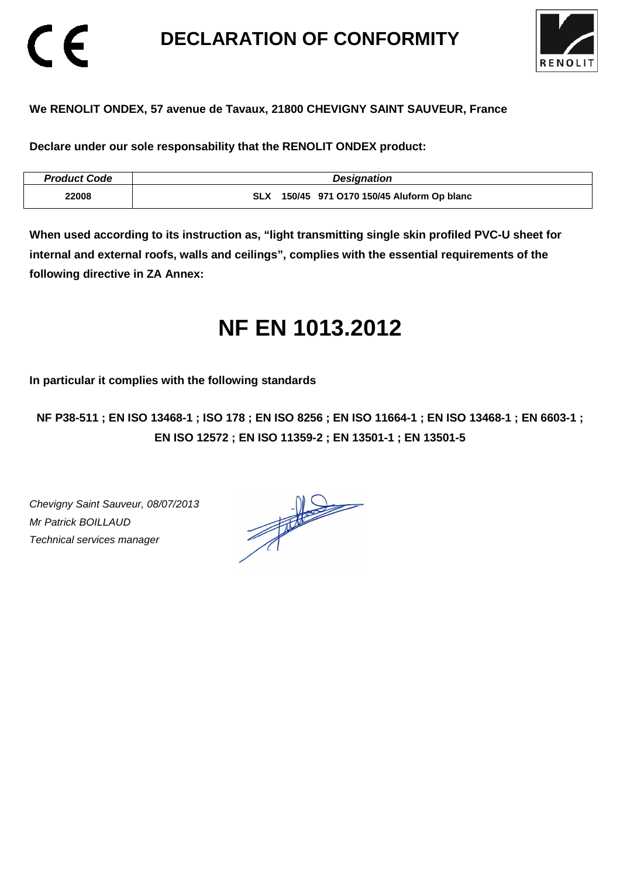## **DECLARATION OF CONFORMITY**



### **We RENOLIT ONDEX, 57 avenue de Tavaux, 21800 CHEVIGNY SAINT SAUVEUR, France**

**Declare under our sole responsability that the RENOLIT ONDEX product:** 

| <b>Product Code</b> | <b>Designation</b>                                    |
|---------------------|-------------------------------------------------------|
| 22008               | 150/45 971 0170 150/45 Aluform Op blanc<br><b>SLX</b> |

**When used according to its instruction as, "light transmitting single skin profiled PVC-U sheet for internal and external roofs, walls and ceilings", complies with the essential requirements of the following directive in ZA Annex:** 

# **NF EN 1013.2012**

**In particular it complies with the following standards** 

**NF P38-511 ; EN ISO 13468-1 ; ISO 178 ; EN ISO 8256 ; EN ISO 11664-1 ; EN ISO 13468-1 ; EN 6603-1 ; EN ISO 12572 ; EN ISO 11359-2 ; EN 13501-1 ; EN 13501-5**

Chevigny Saint Sauveur, 08/07/2013 Mr Patrick BOILLAUD Technical services manager

CE

 $\frac{1}{\sqrt{2}}$